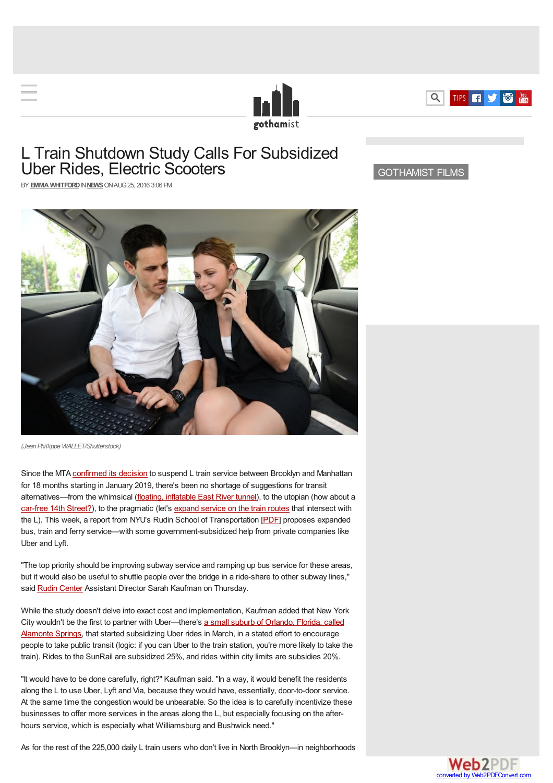



## L Train Shutdown Study Calls For Subsidized Uber Rides, Electric Scooters

BY **EMMA [WHITFORD](http://gothamist.com/author/Emma Whitford)**IN**[NEWS](http://gothamist.com/news)**ONAUG25, 2016 3:06 PM

[GOTHAMIST](http://gothamist.com/tags/GothamistFilms) FILMS



*<sup>(</sup>Jean Phillippe WALLET/Shutterstock)*

Since the MTA [confirmed](http://gothamist.com/2016/07/25/talkin_l_train_shutdown_blues.php) its decision to suspend L train service between Brooklyn and Manhattan for 18 months starting in January 2019, there's been no shortage of suggestions for transit alternatives—from the whimsical (floating, [inflatable](http://gothamist.com/2016/06/15/boom_problem_solved.php#photo-1) East River tunnel), to the utopian (how about a [car-free](http://gothamist.com/2016/07/30/de_blasio_14th_street_shutdown.php) 14th Street?), to the pragmatic (let's [expand](http://gothamist.com/2016/07/25/no_escape_l_train_doom.php) service on the train routes that intersect with the L). This week, a report from NYU's Rudin School of Transportation [\[PDF](http://wagner.nyu.edu/rudincenter/wp-content/uploads/2016/08/NYU-Rudin-L-Train.pdf)] proposes expanded bus, train and ferry service—with some government-subsidized help from private companies like Uber and Lyft.

"The top priority should be improving subway service and ramping up bus service for these areas, but it would also be useful to shuttle people over the bridge in a ride-share to other subway lines," said Rudin [Center](http://wagner.nyu.edu/rudincenter/) Assistant Director Sarah Kaufman on Thursday.

While the study doesn't delve into exact cost and implementation, Kaufman added that New York City wouldn't be the first to partner with [Uber—there's](http://www.orlandosentinel.com/news/seminole/os-altamonte-springs-uber-transportation-20160304-story.html) a small suburb of Orlando, Florida, called Alamonte Springs, that started subsidizing Uber rides in March, in a stated effort to encourage people to take public transit (logic: if you can Uber to the train station, you're more likely to take the train). Rides to the SunRail are subsidized 25%, and rides within city limits are subsidies 20%.

"It would have to be done carefully, right?" Kaufman said. "In a way, it would benefit the residents along the L to use Uber, Lyft and Via, because they would have, essentially, door-to-door service. At the same time the congestion would be unbearable. So the idea is to carefully incentivize these businesses to offer more services in the areas along the L, but especially focusing on the afterhours service, which is especially what Williamsburg and Bushwick need."

As for the rest of the 225,000 daily L train users who don't live in North Brooklyn—in neighborhoods